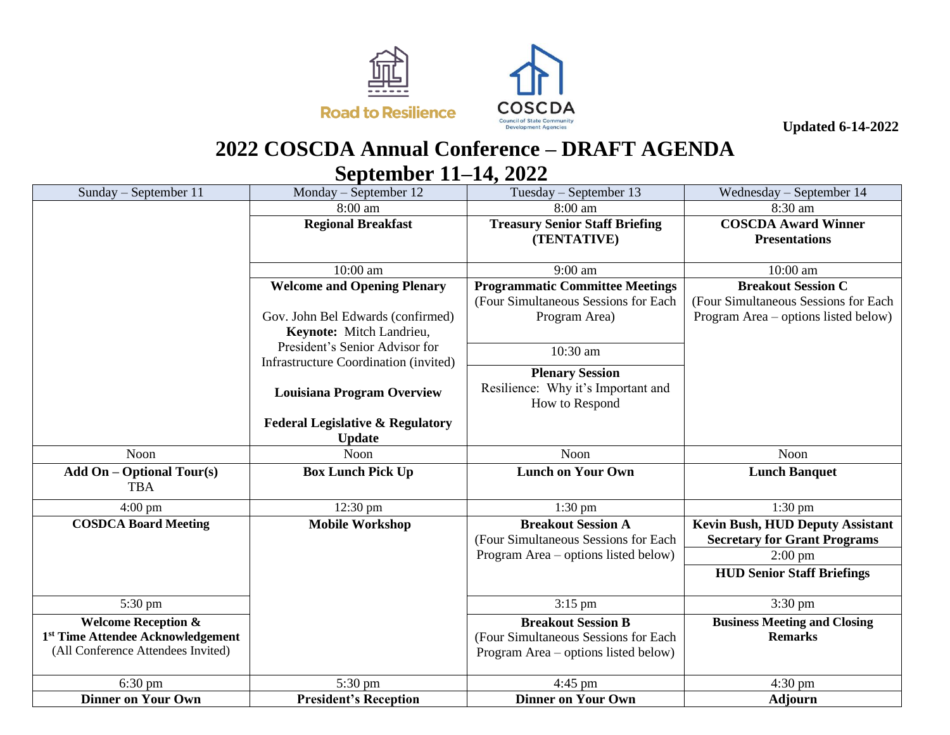



## **2022 COSCDA Annual Conference – DRAFT AGENDA September 11–14, 2022**

| Sunday - September 11                          | Monday – September 12                                                   | Tuesday – September 13                 | Wednesday – September $14$              |
|------------------------------------------------|-------------------------------------------------------------------------|----------------------------------------|-----------------------------------------|
|                                                | 8:00 am                                                                 | 8:00 am                                | 8:30 am                                 |
|                                                | <b>Regional Breakfast</b>                                               | <b>Treasury Senior Staff Briefing</b>  | <b>COSCDA Award Winner</b>              |
|                                                |                                                                         | (TENTATIVE)                            | <b>Presentations</b>                    |
|                                                |                                                                         |                                        |                                         |
|                                                | 10:00 am                                                                | $9:00$ am                              | 10:00 am                                |
|                                                | <b>Welcome and Opening Plenary</b>                                      | <b>Programmatic Committee Meetings</b> | <b>Breakout Session C</b>               |
|                                                |                                                                         | (Four Simultaneous Sessions for Each)  | (Four Simultaneous Sessions for Each    |
|                                                | Gov. John Bel Edwards (confirmed)                                       | Program Area)                          | Program Area – options listed below)    |
|                                                | Keynote: Mitch Landrieu,                                                |                                        |                                         |
|                                                | President's Senior Advisor for<br>Infrastructure Coordination (invited) | 10:30 am                               |                                         |
|                                                |                                                                         | <b>Plenary Session</b>                 |                                         |
|                                                | <b>Louisiana Program Overview</b>                                       | Resilience: Why it's Important and     |                                         |
|                                                |                                                                         | How to Respond                         |                                         |
|                                                | <b>Federal Legislative &amp; Regulatory</b>                             |                                        |                                         |
|                                                | <b>Update</b>                                                           |                                        |                                         |
| Noon                                           | Noon                                                                    | Noon                                   | Noon                                    |
| <b>Add On - Optional Tour(s)</b><br><b>TBA</b> | <b>Box Lunch Pick Up</b>                                                | <b>Lunch on Your Own</b>               | <b>Lunch Banquet</b>                    |
|                                                |                                                                         |                                        |                                         |
| $4:00 \text{ pm}$                              | 12:30 pm                                                                | $1:30$ pm                              | $1:30$ pm                               |
| <b>COSDCA Board Meeting</b>                    | <b>Mobile Workshop</b>                                                  | <b>Breakout Session A</b>              | <b>Kevin Bush, HUD Deputy Assistant</b> |
|                                                |                                                                         | (Four Simultaneous Sessions for Each   | <b>Secretary for Grant Programs</b>     |
|                                                |                                                                         | Program Area – options listed below)   | $2:00$ pm                               |
|                                                |                                                                         |                                        | <b>HUD Senior Staff Briefings</b>       |
| 5:30 pm                                        |                                                                         | 3:15 pm                                | $3:30 \text{ pm}$                       |
| <b>Welcome Reception &amp;</b>                 |                                                                         | <b>Breakout Session B</b>              | <b>Business Meeting and Closing</b>     |
| 1 <sup>st</sup> Time Attendee Acknowledgement  |                                                                         | (Four Simultaneous Sessions for Each   | <b>Remarks</b>                          |
| (All Conference Attendees Invited)             |                                                                         | Program Area – options listed below)   |                                         |
| $6:30 \text{ pm}$                              | 5:30 pm                                                                 | $4:45$ pm                              | $4:30$ pm                               |
| <b>Dinner on Your Own</b>                      | <b>President's Reception</b>                                            | <b>Dinner on Your Own</b>              | <b>Adjourn</b>                          |